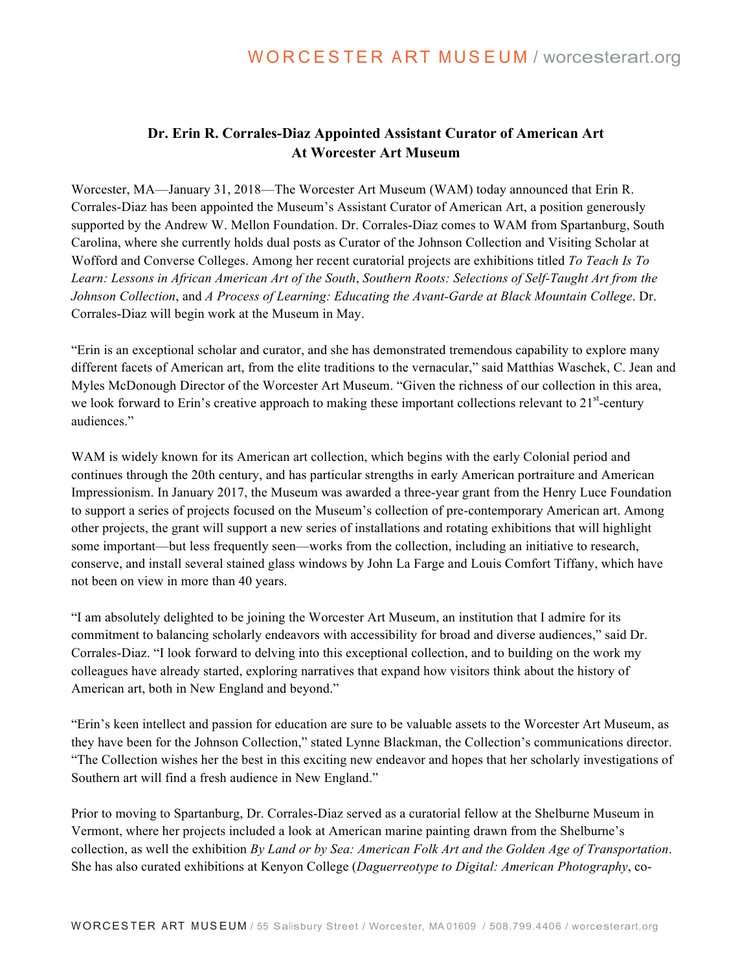## **Dr. Erin R. Corrales-Diaz Appointed Assistant Curator of American Art At Worcester Art Museum**

Worcester, MA—January 31, 2018—The Worcester Art Museum (WAM) today announced that Erin R. Corrales-Diaz has been appointed the Museum's Assistant Curator of American Art, a position generously supported by the Andrew W. Mellon Foundation. Dr. Corrales-Diaz comes to WAM from Spartanburg, South Carolina, where she currently holds dual posts as Curator of the Johnson Collection and Visiting Scholar at Wofford and Converse Colleges. Among her recent curatorial projects are exhibitions titled *To Teach Is To Learn: Lessons in African American Art of the South*, *Southern Roots: Selections of Self-Taught Art from the Johnson Collection*, and *A Process of Learning: Educating the Avant-Garde at Black Mountain College*. Dr. Corrales-Diaz will begin work at the Museum in May.

"Erin is an exceptional scholar and curator, and she has demonstrated tremendous capability to explore many different facets of American art, from the elite traditions to the vernacular," said Matthias Waschek, C. Jean and Myles McDonough Director of the Worcester Art Museum. "Given the richness of our collection in this area, we look forward to Erin's creative approach to making these important collections relevant to 21<sup>st</sup>-century audiences."

WAM is widely known for its American art collection, which begins with the early Colonial period and continues through the 20th century, and has particular strengths in early American portraiture and American Impressionism. In January 2017, the Museum was awarded a three-year grant from the Henry Luce Foundation to support a series of projects focused on the Museum's collection of pre-contemporary American art. Among other projects, the grant will support a new series of installations and rotating exhibitions that will highlight some important—but less frequently seen—works from the collection, including an initiative to research, conserve, and install several stained glass windows by John La Farge and Louis Comfort Tiffany, which have not been on view in more than 40 years.

"I am absolutely delighted to be joining the Worcester Art Museum, an institution that I admire for its commitment to balancing scholarly endeavors with accessibility for broad and diverse audiences," said Dr. Corrales-Diaz. "I look forward to delving into this exceptional collection, and to building on the work my colleagues have already started, exploring narratives that expand how visitors think about the history of American art, both in New England and beyond."

"Erin's keen intellect and passion for education are sure to be valuable assets to the Worcester Art Museum, as they have been for the Johnson Collection," stated Lynne Blackman, the Collection's communications director. "The Collection wishes her the best in this exciting new endeavor and hopes that her scholarly investigations of Southern art will find a fresh audience in New England."

Prior to moving to Spartanburg, Dr. Corrales-Diaz served as a curatorial fellow at the Shelburne Museum in Vermont, where her projects included a look at American marine painting drawn from the Shelburne's collection, as well the exhibition *By Land or by Sea: American Folk Art and the Golden Age of Transportation*. She has also curated exhibitions at Kenyon College (*Daguerreotype to Digital: American Photography*, co